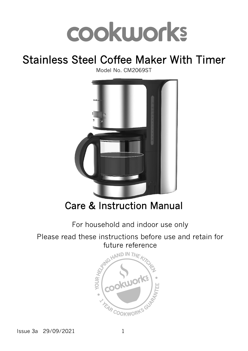# cookworks

# Stainless Steel Coffee Maker With Timer

Model No. CM2069ST



Care & Instruction Manual

For household and indoor use only

Please read these instructions before use and retain for future reference



Issue 3a 29/09/2021 1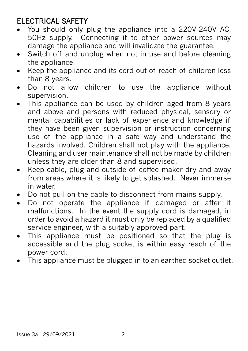#### ELECTRICAL SAFETY

- You should only plug the appliance into a 220V‐240V AC, 50Hz supply. Connecting it to other power sources may damage the appliance and will invalidate the guarantee.
- Switch off and unplug when not in use and before cleaning the appliance.
- Keep the appliance and its cord out of reach of children less than 8 years.
- Do not allow children to use the appliance without supervision.
- This appliance can be used by children aged from 8 years and above and persons with reduced physical, sensory or mental capabilities or lack of experience and knowledge if they have been given supervision or instruction concerning use of the appliance in a safe way and understand the hazards involved. Children shall not play with the appliance. Cleaning and user maintenance shall not be made by children unless they are older than 8 and supervised.
- Keep cable, plug and outside of coffee maker dry and away from areas where it is likely to get splashed. Never immerse in water.
- Do not pull on the cable to disconnect from mains supply.
- Do not operate the appliance if damaged or after it malfunctions. In the event the supply cord is damaged, in order to avoid a hazard it must only be replaced by a qualified service engineer, with a suitably approved part.
- This appliance must be positioned so that the plug is accessible and the plug socket is within easy reach of the power cord.
- This appliance must be plugged in to an earthed socket outlet.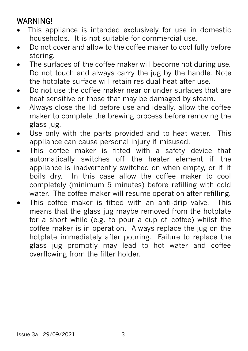#### WARNING!

- This appliance is intended exclusively for use in domestic households. It is not suitable for commercial use.
- Do not cover and allow to the coffee maker to cool fully before storing.
- The surfaces of the coffee maker will become hot during use. Do not touch and always carry the jug by the handle. Note the hotplate surface will retain residual heat after use.
- Do not use the coffee maker near or under surfaces that are heat sensitive or those that may be damaged by steam.
- Always close the lid before use and ideally, allow the coffee maker to complete the brewing process before removing the glass jug.
- Use only with the parts provided and to heat water. This appliance can cause personal injury if misused.
- This coffee maker is fitted with a safety device that automatically switches off the heater element if the appliance is inadvertently switched on when empty, or if it boils dry. In this case allow the coffee maker to cool completely (minimum 5 minutes) before refilling with cold water. The coffee maker will resume operation after refilling.
- This coffee maker is fitted with an anti-drip valve. This means that the glass jug maybe removed from the hotplate for a short while (e.g. to pour a cup of coffee) whilst the coffee maker is in operation. Always replace the jug on the hotplate immediately after pouring. Failure to replace the glass jug promptly may lead to hot water and coffee overflowing from the filter holder.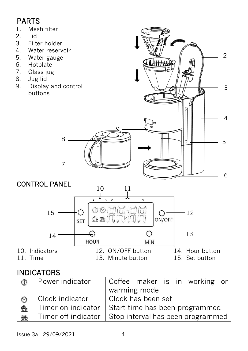### PARTS

- 1. Mesh filter<br>2. Lid
- 2. Lid<br>3. Filt
- Filter holder
- 4. Water reservoir
- 5. Water gauge
- 6. Hotplate<br>7. Glass iug
- 7. Glass jug
- 8. Jug lid<br>9. Display
- Display and control buttons

8

7



#### CONTROL PANEL



#### INDICATORS

| $^{\circledR}$ | Power indicator       | Coffee maker is in working or     |  |
|----------------|-----------------------|-----------------------------------|--|
|                |                       | warming mode                      |  |
|                | Clock indicator       | Clock has been set                |  |
| 豐              | Timer on indicator    | Start time has been programmed    |  |
| 黪              | l Timer off indicator | Stop interval has been programmed |  |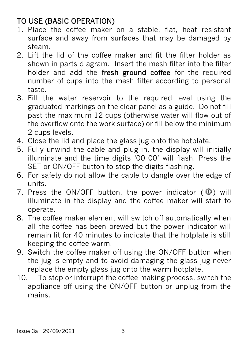## TO USE (BASIC OPERATION)

- 1. Place the coffee maker on a stable, flat, heat resistant surface and away from surfaces that may be damaged by steam.
- 2. Lift the lid of the coffee maker and fit the filter holder as shown in parts diagram. Insert the mesh filter into the filter holder and add the fresh ground coffee for the required number of cups into the mesh filter according to personal taste.
- 3. Fill the water reservoir to the required level using the graduated markings on the clear panel as a guide. Do not fill past the maximum 12 cups (otherwise water will flow out of the overflow onto the work surface) or fill below the minimum 2 cups levels.
- 4. Close the lid and place the glass jug onto the hotplate.
- 5. Fully unwind the cable and plug in, the display will initially illuminate and the time digits '00 00' will flash. Press the SET or ON/OFF button to stop the digits flashing.
- 6. For safety do not allow the cable to dangle over the edge of units.
- 7. Press the ON/OFF button, the power indicator  $(\mathbb{O})$  will illuminate in the display and the coffee maker will start to operate.
- 8. The coffee maker element will switch off automatically when all the coffee has been brewed but the power indicator will remain lit for 40 minutes to indicate that the hotplate is still keeping the coffee warm.
- 9. Switch the coffee maker off using the ON/OFF button when the jug is empty and to avoid damaging the glass jug never replace the empty glass jug onto the warm hotplate.
- 10. To stop or interrupt the coffee making process, switch the appliance off using the ON/OFF button or unplug from the mains.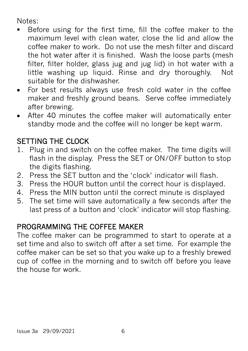Notes:

- Before using for the first time, fill the coffee maker to the maximum level with clean water, close the lid and allow the coffee maker to work. Do not use the mesh filter and discard the hot water after it is finished. Wash the loose parts (mesh filter, filter holder, glass jug and jug lid) in hot water with a little washing up liquid. Rinse and dry thoroughly. Not suitable for the dishwasher.
- For best results always use fresh cold water in the coffee maker and freshly ground beans. Serve coffee immediately after brewing.
- After 40 minutes the coffee maker will automatically enter standby mode and the coffee will no longer be kept warm.

#### SETTING THE CLOCK

- 1. Plug in and switch on the coffee maker. The time digits will flash in the display. Press the SET or ON/OFF button to stop the digits flashing.
- 2. Press the SET button and the 'clock' indicator will flash.
- 3. Press the HOUR button until the correct hour is displayed.
- 4. Press the MIN button until the correct minute is displayed
- 5. The set time will save automatically a few seconds after the last press of a button and 'clock' indicator will stop flashing.

#### PROGRAMMING THE COFFEE MAKER

The coffee maker can be programmed to start to operate at a set time and also to switch off after a set time. For example the coffee maker can be set so that you wake up to a freshly brewed cup of coffee in the morning and to switch off before you leave the house for work.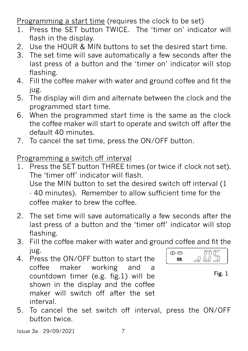Programming a start time (requires the clock to be set)

- 1. Press the SET button TWICE. The 'timer on' indicator will flash in the display.
- 2. Use the HOUR & MIN buttons to set the desired start time.
- 3. The set time will save automatically a few seconds after the last press of a button and the 'timer on' indicator will stop flashing.
- 4. Fill the coffee maker with water and ground coffee and fit the jug.
- 5. The display will dim and alternate between the clock and the programmed start time.
- 6. When the programmed start time is the same as the clock the coffee maker will start to operate and switch off after the default 40 minutes.
- 7. To cancel the set time, press the ON/OFF button.

Programming a switch off interval

- 1. Press the SET button THREE times (or twice if clock not set). The 'timer off' indicator will flash. Use the MIN button to set the desired switch off interval (1 - 40 minutes). Remember to allow sufficient time for the coffee maker to brew the coffee.
- 2. The set time will save automatically a few seconds after the last press of a button and the 'timer off' indicator will stop flashing.
- 3. Fill the coffee maker with water and ground coffee and fit the jug.  $\bigcirc$
- 4. Press the ON/OFF button to start the coffee maker working and a countdown timer (e.g. fig.1) will be shown in the display and the coffee maker will switch off after the set interval.



Fig. 1

5. To cancel the set switch off interval, press the ON/OFF button twice.

Issue 3a 29/09/2021 7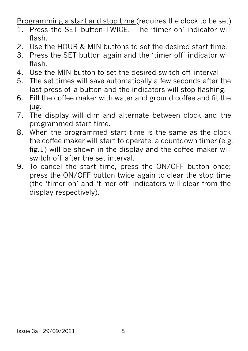Programming a start and stop time (requires the clock to be set)

- 1. Press the SET button TWICE. The 'timer on' indicator will flash.
- 2. Use the HOUR & MIN buttons to set the desired start time.
- 3. Press the SET button again and the 'timer off' indicator will flash.
- 4. Use the MIN button to set the desired switch off interval.
- 5. The set times will save automatically a few seconds after the last press of a button and the indicators will stop flashing.
- 6. Fill the coffee maker with water and ground coffee and fit the jug.
- 7. The display will dim and alternate between clock and the programmed start time.
- 8. When the programmed start time is the same as the clock the coffee maker will start to operate, a countdown timer (e.g. fig.1) will be shown in the display and the coffee maker will switch off after the set interval.
- 9. To cancel the start time, press the ON/OFF button once; press the ON/OFF button twice again to clear the stop time (the 'timer on' and 'timer off' indicators will clear from the display respectively).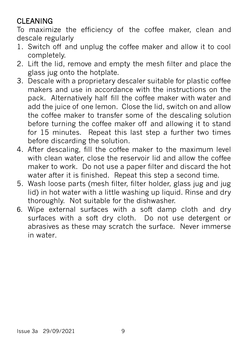### CLEANING

To maximize the efficiency of the coffee maker, clean and descale regularly

- 1. Switch off and unplug the coffee maker and allow it to cool completely.
- 2. Lift the lid, remove and empty the mesh filter and place the glass jug onto the hotplate.
- 3. Descale with a proprietary descaler suitable for plastic coffee makers and use in accordance with the instructions on the pack. Alternatively half fill the coffee maker with water and add the juice of one lemon. Close the lid, switch on and allow the coffee maker to transfer some of the descaling solution before turning the coffee maker off and allowing it to stand for 15 minutes. Repeat this last step a further two times before discarding the solution.
- 4. After descaling, fill the coffee maker to the maximum level with clean water, close the reservoir lid and allow the coffee maker to work. Do not use a paper filter and discard the hot water after it is finished. Repeat this step a second time.
- 5. Wash loose parts (mesh filter, filter holder, glass jug and jug lid) in hot water with a little washing up liquid. Rinse and dry thoroughly. Not suitable for the dishwasher.
- 6. Wipe external surfaces with a soft damp cloth and dry surfaces with a soft dry cloth. Do not use detergent or abrasives as these may scratch the surface. Never immerse in water.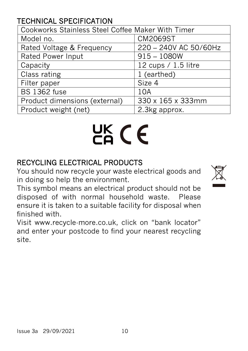#### TECHNICAL SPECIFICATION

| Cookworks Stainless Steel Coffee Maker With Timer |                       |  |
|---------------------------------------------------|-----------------------|--|
| Model no.                                         | <b>CM2069ST</b>       |  |
| Rated Voltage & Frequency                         | 220 - 240V AC 50/60Hz |  |
| <b>Rated Power Input</b>                          | $915 - 1080W$         |  |
| Capacity                                          | 12 cups / 1.5 litre   |  |
| Class rating                                      | 1 (earthed)           |  |
| Filter paper                                      | Size 4                |  |
| <b>BS 1362 fuse</b>                               | 10A                   |  |
| Product dimensions (external)                     | 330 x 165 x 333mm     |  |
| Product weight (net)                              | 2.3kg approx.         |  |

# UK CE

#### RECYCLING ELECTRICAL PRODUCTS

You should now recycle your waste electrical goods and in doing so help the environment.

This symbol means an electrical product should not be disposed of with normal household waste. Please ensure it is taken to a suitable facility for disposal when finished with.

Visit www.recycle-more.co.uk, click on "bank locator" and enter your postcode to find your nearest recycling site.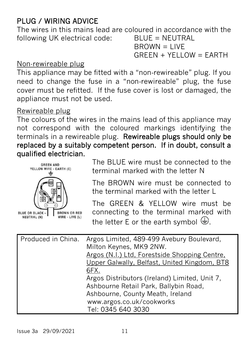#### PLUG / WIRING ADVICE

The wires in this mains lead are coloured in accordance with the following UK electrical code: BLUE = NEUTRAL

 $B$ ROWN = LIVE  $GREEN + YELLOW = EARTH$ 

#### Non-rewireable plug

This appliance may be fitted with a "non‐rewireable" plug. If you need to change the fuse in a "non‐rewireable" plug, the fuse cover must be refitted. If the fuse cover is lost or damaged, the appliance must not be used.

#### Rewireable plug

The colours of the wires in the mains lead of this appliance may not correspond with the coloured markings identifying the terminals in a rewireable plug. Rewireable plugs should only be replaced by a suitably competent person. If in doubt, consult a qualified electrician.



The BLUE wire must be connected to the terminal marked with the letter N

The BROWN wire must be connected to the terminal marked with the letter L

The GREEN & YELLOW wire must be connecting to the terminal marked with the letter E or the earth symbol  $\bigoplus$ [.](http://www.google.co.uk/url?sa=i&rct=j&q=&esrc=s&source=images&cd=&cad=rja&uact=8&ved=0ahUKEwjw08CS0cLTAhXCOxoKHTpEDRMQjRwIBw&url=http://fix-my-compressor.com/replace-compressor-pressure-switch-three/ground-symbol/&psig=AFQjCNGqtY0V-S7cUaB2Quy_Qq-bl_DgSQ&ust=1493313595817424)

| Produced in China. | Argos Limited, 489-499 Avebury Boulevard,<br>Milton Keynes, MK9 2NW. |
|--------------------|----------------------------------------------------------------------|
|                    | Argos (N.I.) Ltd, Forestside Shopping Centre.                        |
|                    | Upper Galwally, Belfast, United Kingdom, BT8                         |
|                    | 6FX.                                                                 |
|                    | Argos Distributors (Ireland) Limited, Unit 7,                        |
|                    | Ashbourne Retail Park, Ballybin Road,                                |
|                    | Ashbourne, County Meath, Ireland                                     |
|                    | www.argos.co.uk/cookworks                                            |
|                    | Tel: 0345 640 3030                                                   |